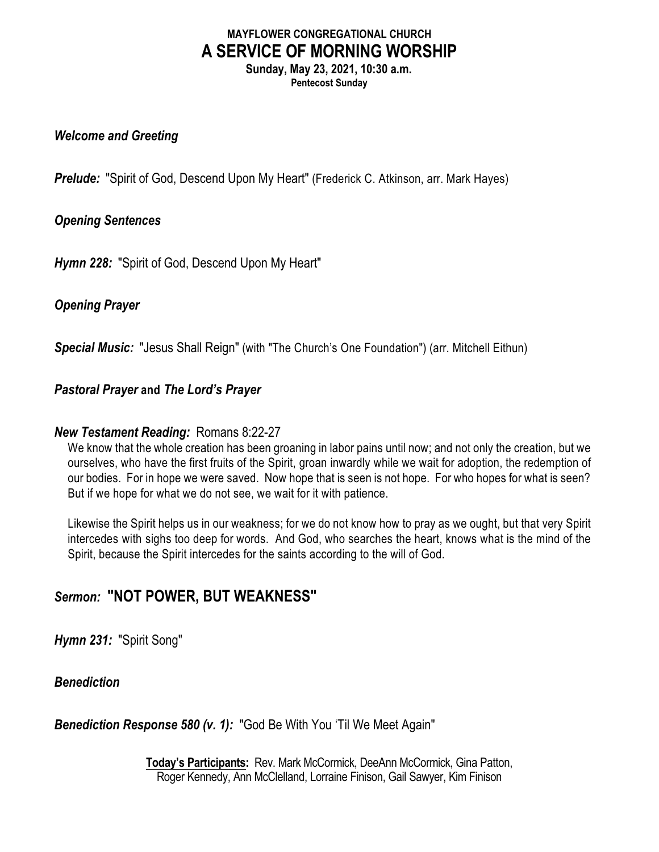### **MAYFLOWER CONGREGATIONAL CHURCH A SERVICE OF MORNING WORSHIP**

**Sunday, May 23, 2021, 10:30 a.m. Pentecost Sunday**

#### *Welcome and Greeting*

**Prelude:** "Spirit of God, Descend Upon My Heart" (Frederick C. Atkinson, arr. Mark Hayes)

### *Opening Sentences*

*Hymn 228:* "Spirit of God, Descend Upon My Heart"

### *Opening Prayer*

*Special Music:* "Jesus Shall Reign" (with "The Church's One Foundation") (arr. Mitchell Eithun)

### *Pastoral Prayer* **and** *The Lord's Prayer*

#### *New Testament Reading:* Romans 8:22-27

We know that the whole creation has been groaning in labor pains until now; and not only the creation, but we ourselves, who have the first fruits of the Spirit, groan inwardly while we wait for adoption, the redemption of our bodies. For in hope we were saved. Now hope that is seen is not hope. For who hopes for what is seen? But if we hope for what we do not see, we wait for it with patience.

Likewise the Spirit helps us in our weakness; for we do not know how to pray as we ought, but that very Spirit intercedes with sighs too deep for words. And God, who searches the heart, knows what is the mind of the Spirit, because the Spirit intercedes for the saints according to the will of God.

## *Sermon:* **"NOT POWER, BUT WEAKNESS"**

*Hymn 231:* "Spirit Song"

#### *Benediction*

*Benediction Response 580 (v. 1):* "God Be With You 'Til We Meet Again"

**Today's Participants:** Rev. Mark McCormick, DeeAnn McCormick, Gina Patton, Roger Kennedy, Ann McClelland, Lorraine Finison, Gail Sawyer, Kim Finison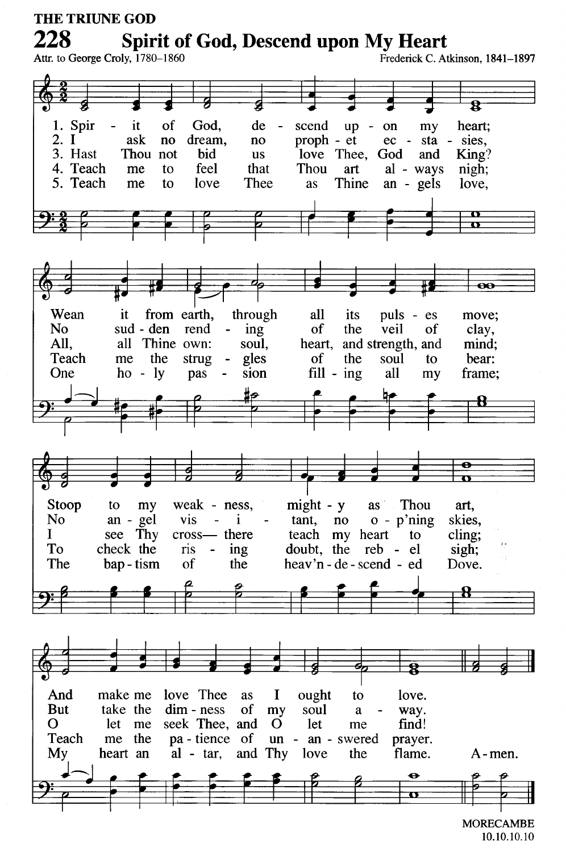# **THE TRIUNE GOD Spirit of God, Descend upon My Heart**

Attr. to George Croly, 1780-1860

Frederick C. Atkinson, 1841-1897



**MORECAMBE** 10.10.10.10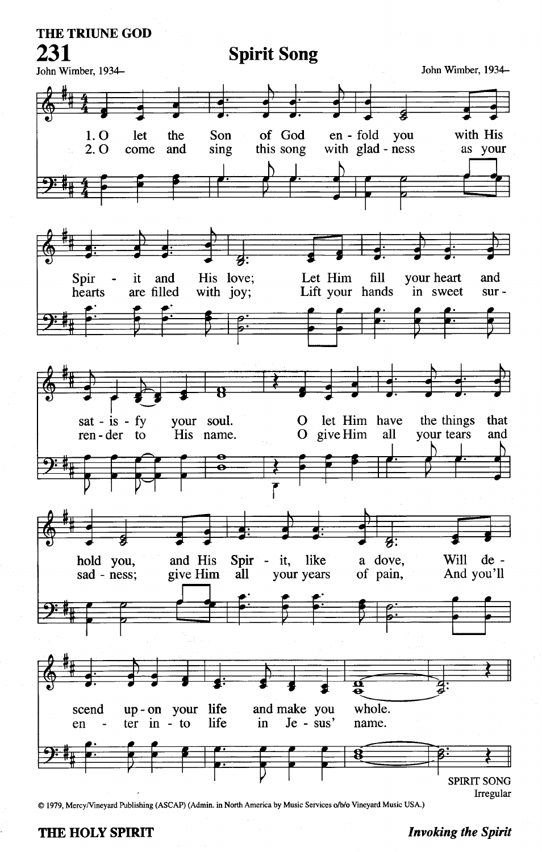

© 1979, Mercy/Vineyard Publishing (ASCAP) (Admin. in North America by Music Services o/b/o Vineyard Music USA.)

#### **THE HOLY SPIRIT**

#### **Invoking the Spirit**